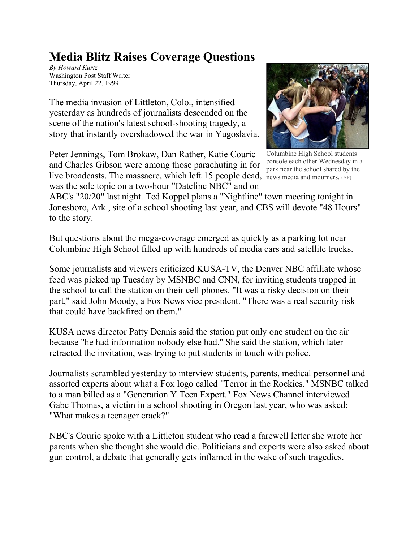## **Media Blitz Raises Coverage Questions**

*By Howard Kurtz* Washington Post Staff Writer Thursday, April 22, 1999

The media invasion of Littleton, Colo., intensified yesterday as hundreds of journalists descended on the scene of the nation's latest school-shooting tragedy, a story that instantly overshadowed the war in Yugoslavia.

Peter Jennings, Tom Brokaw, Dan Rather, Katie Couric and Charles Gibson were among those parachuting in for live broadcasts. The massacre, which left 15 people dead, how media and mourners. (AP) was the sole topic on a two-hour "Dateline NBC" and on



Columbine High School students console each other Wednesday in a park near the school shared by the

ABC's "20/20" last night. Ted Koppel plans a "Nightline" town meeting tonight in Jonesboro, Ark., site of a school shooting last year, and CBS will devote "48 Hours" to the story.

But questions about the mega-coverage emerged as quickly as a parking lot near Columbine High School filled up with hundreds of media cars and satellite trucks.

Some journalists and viewers criticized KUSA-TV, the Denver NBC affiliate whose feed was picked up Tuesday by MSNBC and CNN, for inviting students trapped in the school to call the station on their cell phones. "It was a risky decision on their part," said John Moody, a Fox News vice president. "There was a real security risk that could have backfired on them."

KUSA news director Patty Dennis said the station put only one student on the air because "he had information nobody else had." She said the station, which later retracted the invitation, was trying to put students in touch with police.

Journalists scrambled yesterday to interview students, parents, medical personnel and assorted experts about what a Fox logo called "Terror in the Rockies." MSNBC talked to a man billed as a "Generation Y Teen Expert." Fox News Channel interviewed Gabe Thomas, a victim in a school shooting in Oregon last year, who was asked: "What makes a teenager crack?"

NBC's Couric spoke with a Littleton student who read a farewell letter she wrote her parents when she thought she would die. Politicians and experts were also asked about gun control, a debate that generally gets inflamed in the wake of such tragedies.